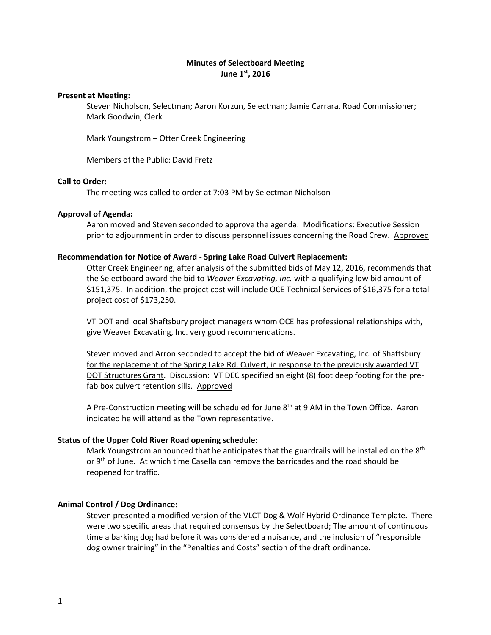# **Minutes of Selectboard Meeting June 1st, 2016**

## **Present at Meeting:**

Steven Nicholson, Selectman; Aaron Korzun, Selectman; Jamie Carrara, Road Commissioner; Mark Goodwin, Clerk

Mark Youngstrom – Otter Creek Engineering

Members of the Public: David Fretz

# **Call to Order:**

The meeting was called to order at 7:03 PM by Selectman Nicholson

## **Approval of Agenda:**

Aaron moved and Steven seconded to approve the agenda. Modifications: Executive Session prior to adjournment in order to discuss personnel issues concerning the Road Crew. Approved

## **Recommendation for Notice of Award - Spring Lake Road Culvert Replacement:**

Otter Creek Engineering, after analysis of the submitted bids of May 12, 2016, recommends that the Selectboard award the bid to *Weaver Excavating, Inc.* with a qualifying low bid amount of \$151,375. In addition, the project cost will include OCE Technical Services of \$16,375 for a total project cost of \$173,250.

VT DOT and local Shaftsbury project managers whom OCE has professional relationships with, give Weaver Excavating, Inc. very good recommendations.

Steven moved and Arron seconded to accept the bid of Weaver Excavating, Inc. of Shaftsbury for the replacement of the Spring Lake Rd. Culvert, in response to the previously awarded VT DOT Structures Grant. Discussion: VT DEC specified an eight (8) foot deep footing for the prefab box culvert retention sills. Approved

A Pre-Construction meeting will be scheduled for June  $8<sup>th</sup>$  at 9 AM in the Town Office. Aaron indicated he will attend as the Town representative.

### **Status of the Upper Cold River Road opening schedule:**

Mark Youngstrom announced that he anticipates that the guardrails will be installed on the  $8<sup>th</sup>$ or 9<sup>th</sup> of June. At which time Casella can remove the barricades and the road should be reopened for traffic.

## **Animal Control / Dog Ordinance:**

Steven presented a modified version of the VLCT Dog & Wolf Hybrid Ordinance Template. There were two specific areas that required consensus by the Selectboard; The amount of continuous time a barking dog had before it was considered a nuisance, and the inclusion of "responsible dog owner training" in the "Penalties and Costs" section of the draft ordinance.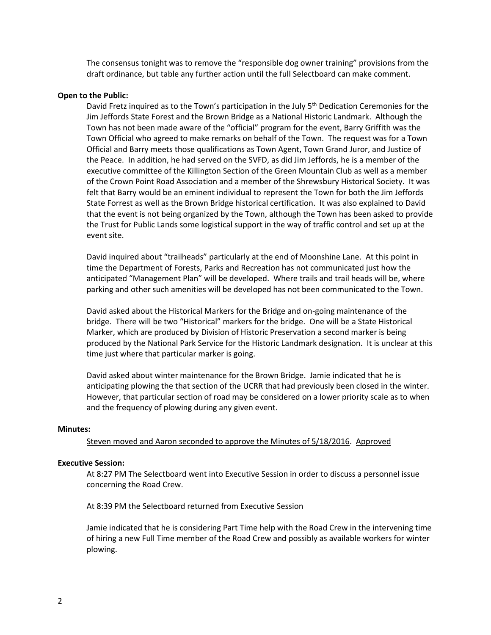The consensus tonight was to remove the "responsible dog owner training" provisions from the draft ordinance, but table any further action until the full Selectboard can make comment.

### **Open to the Public:**

David Fretz inquired as to the Town's participation in the July 5<sup>th</sup> Dedication Ceremonies for the Jim Jeffords State Forest and the Brown Bridge as a National Historic Landmark. Although the Town has not been made aware of the "official" program for the event, Barry Griffith was the Town Official who agreed to make remarks on behalf of the Town. The request was for a Town Official and Barry meets those qualifications as Town Agent, Town Grand Juror, and Justice of the Peace. In addition, he had served on the SVFD, as did Jim Jeffords, he is a member of the executive committee of the Killington Section of the Green Mountain Club as well as a member of the Crown Point Road Association and a member of the Shrewsbury Historical Society. It was felt that Barry would be an eminent individual to represent the Town for both the Jim Jeffords State Forrest as well as the Brown Bridge historical certification. It was also explained to David that the event is not being organized by the Town, although the Town has been asked to provide the Trust for Public Lands some logistical support in the way of traffic control and set up at the event site.

David inquired about "trailheads" particularly at the end of Moonshine Lane. At this point in time the Department of Forests, Parks and Recreation has not communicated just how the anticipated "Management Plan" will be developed. Where trails and trail heads will be, where parking and other such amenities will be developed has not been communicated to the Town.

David asked about the Historical Markers for the Bridge and on-going maintenance of the bridge. There will be two "Historical" markers for the bridge. One will be a State Historical Marker, which are produced by Division of Historic Preservation a second marker is being produced by the National Park Service for the Historic Landmark designation. It is unclear at this time just where that particular marker is going.

David asked about winter maintenance for the Brown Bridge. Jamie indicated that he is anticipating plowing the that section of the UCRR that had previously been closed in the winter. However, that particular section of road may be considered on a lower priority scale as to when and the frequency of plowing during any given event.

#### **Minutes:**

### Steven moved and Aaron seconded to approve the Minutes of 5/18/2016. Approved

### **Executive Session:**

At 8:27 PM The Selectboard went into Executive Session in order to discuss a personnel issue concerning the Road Crew.

At 8:39 PM the Selectboard returned from Executive Session

Jamie indicated that he is considering Part Time help with the Road Crew in the intervening time of hiring a new Full Time member of the Road Crew and possibly as available workers for winter plowing.